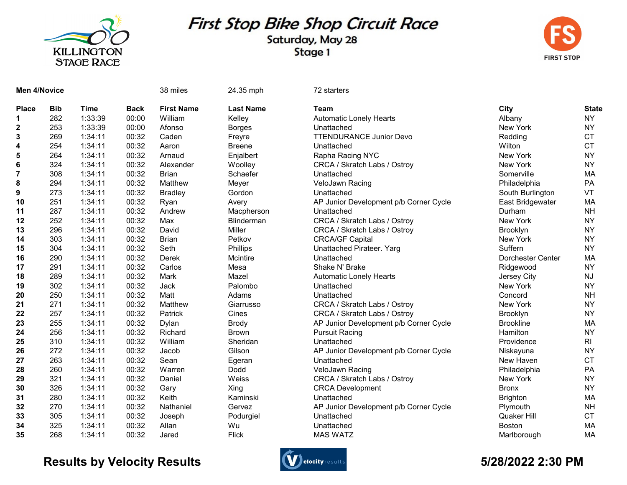

## First Stop Bike Shop Circuit Race

Saturday, May 28 Stage 1



| <b>Men 4/Novice</b> |            |             |             | 38 miles          | 24.35 mph        | 72 starters                            |                    |                |
|---------------------|------------|-------------|-------------|-------------------|------------------|----------------------------------------|--------------------|----------------|
| <b>Place</b>        | <b>Bib</b> | <b>Time</b> | <b>Back</b> | <b>First Name</b> | <b>Last Name</b> | <b>Team</b>                            | City               | <b>State</b>   |
| 1                   | 282        | 1:33:39     | 00:00       | William           | Kelley           | <b>Automatic Lonely Hearts</b>         | Albany             | <b>NY</b>      |
| $\mathbf{2}$        | 253        | 1:33:39     | 00:00       | Afonso            | <b>Borges</b>    | Unattached                             | New York           | <b>NY</b>      |
| 3                   | 269        | 1:34:11     | 00:32       | Caden             | Freyre           | <b>TTENDURANCE Junior Devo</b>         | Redding            | <b>CT</b>      |
| 4                   | 254        | 1:34:11     | 00:32       | Aaron             | <b>Breene</b>    | Unattached                             | Wilton             | <b>CT</b>      |
| 5                   | 264        | 1:34:11     | 00:32       | Arnaud            | Enjalbert        | Rapha Racing NYC                       | New York           | <b>NY</b>      |
| 6                   | 324        | 1:34:11     | 00:32       | Alexander         | Woolley          | CRCA / Skratch Labs / Ostroy           | New York           | <b>NY</b>      |
| $\overline{7}$      | 308        | 1:34:11     | 00:32       | <b>Brian</b>      | Schaefer         | Unattached                             | Somerville         | MA             |
| 8                   | 294        | 1:34:11     | 00:32       | Matthew           | Meyer            | VeloJawn Racing                        | Philadelphia       | PA             |
| 9                   | 273        | 1:34:11     | 00:32       | <b>Bradley</b>    | Gordon           | Unattached                             | South Burlington   | VT             |
| 10                  | 251        | 1:34:11     | 00:32       | Ryan              | Avery            | AP Junior Development p/b Corner Cycle | East Bridgewater   | MA             |
| 11                  | 287        | 1:34:11     | 00:32       | Andrew            | Macpherson       | Unattached                             | Durham             | <b>NH</b>      |
| 12                  | 252        | 1:34:11     | 00:32       | Max               | Blinderman       | CRCA / Skratch Labs / Ostroy           | New York           | <b>NY</b>      |
| 13                  | 296        | 1:34:11     | 00:32       | David             | Miller           | CRCA / Skratch Labs / Ostroy           | Brooklyn           | <b>NY</b>      |
| 14                  | 303        | 1:34:11     | 00:32       | <b>Brian</b>      | Petkov           | <b>CRCA/GF Capital</b>                 | New York           | <b>NY</b>      |
| 15                  | 304        | 1:34:11     | 00:32       | Seth              | Phillips         | Unattached Pirateer. Yarg              | Suffern            | <b>NY</b>      |
| 16                  | 290        | 1:34:11     | 00:32       | Derek             | Mcintire         | Unattached                             | Dorchester Center  | MA             |
| 17                  | 291        | 1:34:11     | 00:32       | Carlos            | Mesa             | Shake N' Brake                         | Ridgewood          | <b>NY</b>      |
| 18                  | 289        | 1:34:11     | 00:32       | Mark              | Mazel            | Automatic Lonely Hearts                | Jersey City        | <b>NJ</b>      |
| 19                  | 302        | 1:34:11     | 00:32       | Jack              | Palombo          | Unattached                             | New York           | <b>NY</b>      |
| 20                  | 250        | 1:34:11     | 00:32       | Matt              | Adams            | Unattached                             | Concord            | <b>NH</b>      |
| 21                  | 271        | 1:34:11     | 00:32       | Matthew           | Giarrusso        | CRCA / Skratch Labs / Ostroy           | New York           | <b>NY</b>      |
| 22                  | 257        | 1:34:11     | 00:32       | Patrick           | Cines            | CRCA / Skratch Labs / Ostroy           | <b>Brooklyn</b>    | <b>NY</b>      |
| 23                  | 255        | 1:34:11     | 00:32       | Dylan             | <b>Brody</b>     | AP Junior Development p/b Corner Cycle | <b>Brookline</b>   | <b>MA</b>      |
| 24                  | 256        | 1:34:11     | 00:32       | Richard           | <b>Brown</b>     | <b>Pursuit Racing</b>                  | Hamilton           | <b>NY</b>      |
| 25                  | 310        | 1:34:11     | 00:32       | William           | Sheridan         | Unattached                             | Providence         | R <sub>l</sub> |
| 26                  | 272        | 1:34:11     | 00:32       | Jacob             | Gilson           | AP Junior Development p/b Corner Cycle | Niskayuna          | <b>NY</b>      |
| 27                  | 263        | 1:34:11     | 00:32       | Sean              | Egeran           | Unattached                             | New Haven          | <b>CT</b>      |
| 28                  | 260        | 1:34:11     | 00:32       | Warren            | Dodd             | VeloJawn Racing                        | Philadelphia       | PA             |
| 29                  | 321        | 1:34:11     | 00:32       | Daniel            | Weiss            | CRCA / Skratch Labs / Ostroy           | New York           | <b>NY</b>      |
| 30                  | 326        | 1:34:11     | 00:32       | Gary              | Xing             | <b>CRCA Development</b>                | <b>Bronx</b>       | <b>NY</b>      |
| 31                  | 280        | 1:34:11     | 00:32       | Keith             | Kaminski         | Unattached                             | <b>Brighton</b>    | MA             |
| 32                  | 270        | 1:34:11     | 00:32       | Nathaniel         | Gervez           | AP Junior Development p/b Corner Cycle | Plymouth           | <b>NH</b>      |
| 33                  | 305        | 1:34:11     | 00:32       | Joseph            | Podurgiel        | Unattached                             | <b>Quaker Hill</b> | <b>CT</b>      |
| 34                  | 325        | 1:34:11     | 00:32       | Allan             | Wu               | Unattached                             | Boston             | MA             |
| 35                  | 268        | 1:34:11     | 00:32       | Jared             | <b>Flick</b>     | <b>MAS WATZ</b>                        | Marlborough        | MA             |

## Results by Velocity Results **Conserversults** and the second of the second of the State of the State of the State of the State of the State of the State of the State of the State of the State of the State of the State of th